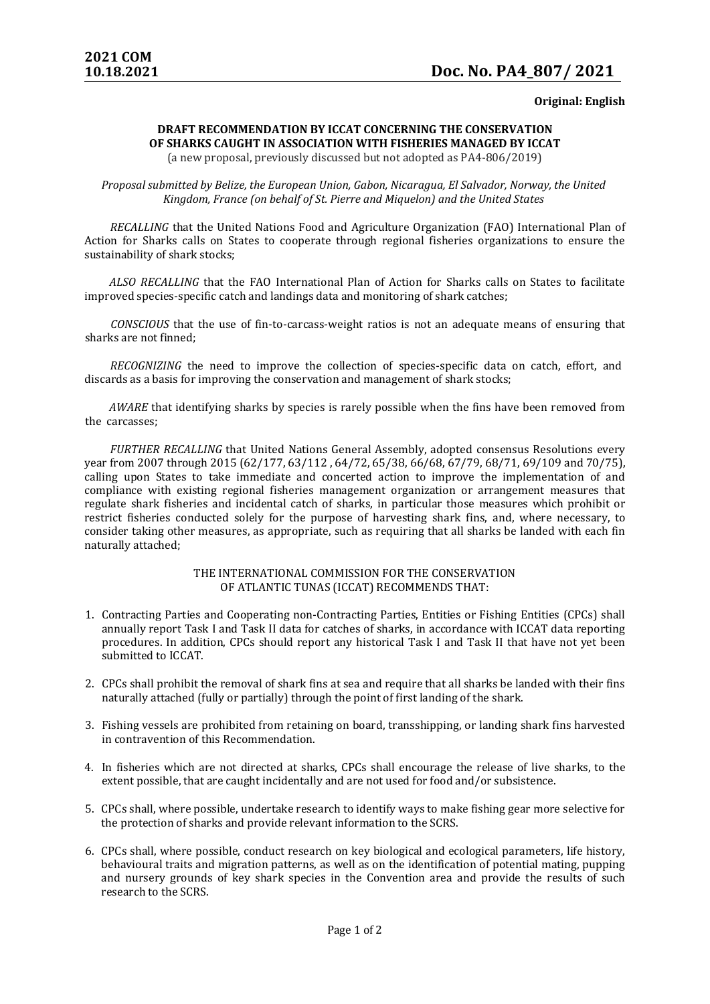**Original: English**

## **DRAFT RECOMMENDATION BY ICCAT CONCERNING THE CONSERVATION OF SHARKS CAUGHT IN ASSOCIATION WITH FISHERIES MANAGED BY ICCAT**

(a new proposal, previously discussed but not adopted as PA4-806/2019)

*Proposal submitted by Belize, the European Union, Gabon, Nicaragua, El Salvador, Norway, the United Kingdom, France (on behalf of St. Pierre and Miquelon) and the United States*

*RECALLING* that the United Nations Food and Agriculture Organization (FAO) International Plan of Action for Sharks calls on States to cooperate through regional fisheries organizations to ensure the sustainability of shark stocks;

*ALSO RECALLING* that the FAO International Plan of Action for Sharks calls on States to facilitate improved species-specific catch and landings data and monitoring of shark catches;

*CONSCIOUS* that the use of fin-to-carcass-weight ratios is not an adequate means of ensuring that sharks are not finned;

*RECOGNIZING* the need to improve the collection of species-specific data on catch, effort, and discards as a basis for improving the conservation and management of shark stocks;

*AWARE* that identifying sharks by species is rarely possible when the fins have been removed from the carcasses;

*FURTHER RECALLING* that United Nations General Assembly, adopted consensus Resolutions every year from 2007 through 2015 (62/177, 63/112 , 64/72, 65/38, 66/68, 67/79, 68/71, 69/109 and 70/75), calling upon States to take immediate and concerted action to improve the implementation of and compliance with existing regional fisheries management organization or arrangement measures that regulate shark fisheries and incidental catch of sharks, in particular those measures which prohibit or restrict fisheries conducted solely for the purpose of harvesting shark fins, and, where necessary, to consider taking other measures, as appropriate, such as requiring that all sharks be landed with each fin naturally attached;

## THE INTERNATIONAL COMMISSION FOR THE CONSERVATION OF ATLANTIC TUNAS (ICCAT) RECOMMENDS THAT:

- 1. Contracting Parties and Cooperating non-Contracting Parties, Entities or Fishing Entities (CPCs) shall annually report Task I and Task II data for catches of sharks, in accordance with ICCAT data reporting procedures. In addition, CPCs should report any historical Task I and Task II that have not yet been submitted to ICCAT.
- 2. CPCs shall prohibit the removal of shark fins at sea and require that all sharks be landed with their fins naturally attached (fully or partially) through the point of first landing of the shark.
- 3. Fishing vessels are prohibited from retaining on board, transshipping, or landing shark fins harvested in contravention of this Recommendation.
- 4. In fisheries which are not directed at sharks, CPCs shall encourage the release of live sharks, to the extent possible, that are caught incidentally and are not used for food and/or subsistence.
- 5. CPCs shall, where possible, undertake research to identify ways to make fishing gear more selective for the protection of sharks and provide relevant information to the SCRS.
- 6. CPCs shall, where possible, conduct research on key biological and ecological parameters, life history, behavioural traits and migration patterns, as well as on the identification of potential mating, pupping and nursery grounds of key shark species in the Convention area and provide the results of such research to the SCRS.